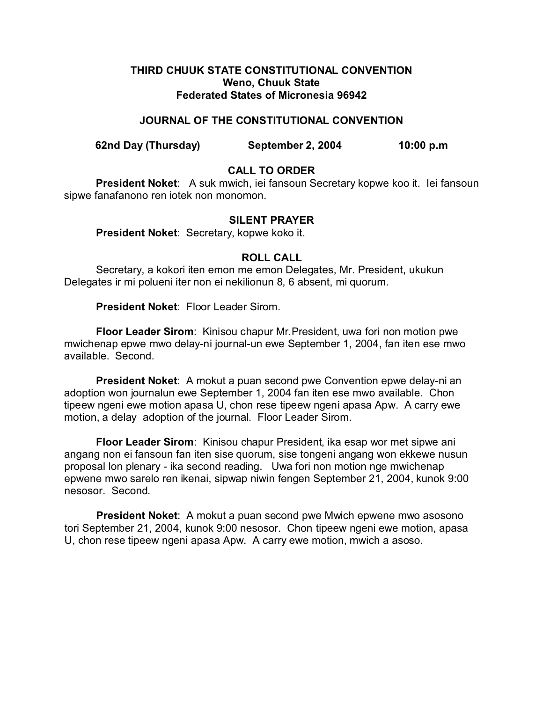#### **THIRD CHUUK STATE CONSTITUTIONAL CONVENTION Weno, Chuuk State Federated States of Micronesia 96942**

#### **JOURNAL OF THE CONSTITUTIONAL CONVENTION**

**62nd Day (Thursday) September 2, 2004 10:00 p.m**

## **CALL TO ORDER**

**President Noket**: A suk mwich, iei fansoun Secretary kopwe koo it. Iei fansoun sipwe fanafanono ren iotek non monomon.

#### **SILENT PRAYER**

**President Noket**: Secretary, kopwe koko it.

### **ROLL CALL**

Secretary, a kokori iten emon me emon Delegates, Mr. President, ukukun Delegates ir mi polueni iter non ei nekilionun 8, 6 absent, mi quorum.

**President Noket**: Floor Leader Sirom.

**Floor Leader Sirom**: Kinisou chapur Mr.President, uwa fori non motion pwe mwichenap epwe mwo delay-ni journal-un ewe September 1, 2004, fan iten ese mwo available. Second.

**President Noket**: A mokut a puan second pwe Convention epwe delay-ni an adoption won journalun ewe September 1, 2004 fan iten ese mwo available. Chon tipeew ngeni ewe motion apasa U, chon rese tipeew ngeni apasa Apw. A carry ewe motion, a delay adoption of the journal. Floor Leader Sirom.

**Floor Leader Sirom**: Kinisou chapur President, ika esap wor met sipwe ani angang non ei fansoun fan iten sise quorum, sise tongeni angang won ekkewe nusun proposal lon plenary - ika second reading. Uwa fori non motion nge mwichenap epwene mwo sarelo ren ikenai, sipwap niwin fengen September 21, 2004, kunok 9:00 nesosor. Second.

**President Noket**: A mokut a puan second pwe Mwich epwene mwo asosono tori September 21, 2004, kunok 9:00 nesosor. Chon tipeew ngeni ewe motion, apasa U, chon rese tipeew ngeni apasa Apw. A carry ewe motion, mwich a asoso.